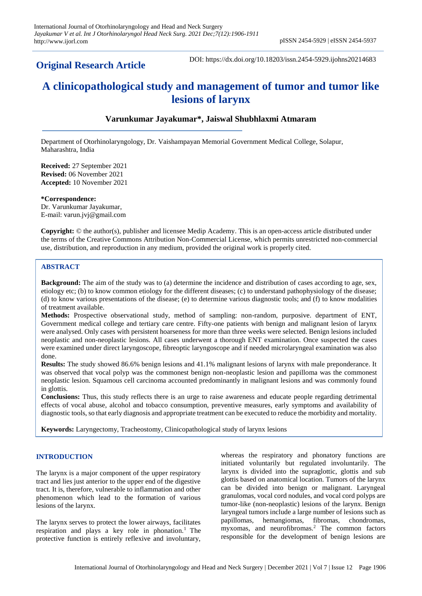## **Original Research Article**

DOI: https://dx.doi.org/10.18203/issn.2454-5929.ijohns20214683

# **A clinicopathological study and management of tumor and tumor like lesions of larynx**

## **Varunkumar Jayakumar\*, Jaiswal Shubhlaxmi Atmaram**

Department of Otorhinolaryngology, Dr. Vaishampayan Memorial Government Medical College, Solapur, Maharashtra, India

**Received:** 27 September 2021 **Revised:** 06 November 2021 **Accepted:** 10 November 2021

**\*Correspondence:** Dr. Varunkumar Jayakumar, E-mail: varun.jvj@gmail.com

**Copyright:** © the author(s), publisher and licensee Medip Academy. This is an open-access article distributed under the terms of the Creative Commons Attribution Non-Commercial License, which permits unrestricted non-commercial use, distribution, and reproduction in any medium, provided the original work is properly cited.

## **ABSTRACT**

**Background:** The aim of the study was to (a) determine the incidence and distribution of cases according to age, sex, etiology etc; (b) to know common etiology for the different diseases; (c) to understand pathophysiology of the disease; (d) to know various presentations of the disease; (e) to determine various diagnostic tools; and (f) to know modalities of treatment available.

**Methods:** Prospective observational study, method of sampling: non-random, purposive. department of ENT, Government medical college and tertiary care centre. Fifty-one patients with benign and malignant lesion of larynx were analysed. Only cases with persistent hoarseness for more than three weeks were selected. Benign lesions included neoplastic and non-neoplastic lesions. All cases underwent a thorough ENT examination. Once suspected the cases were examined under direct laryngoscope, fibreoptic laryngoscope and if needed microlaryngeal examination was also done.

**Results:** The study showed 86.6% benign lesions and 41.1% malignant lesions of larynx with male preponderance. It was observed that vocal polyp was the commonest benign non-neoplastic lesion and papilloma was the commonest neoplastic lesion. Squamous cell carcinoma accounted predominantly in malignant lesions and was commonly found in glottis.

**Conclusions:** Thus, this study reflects there is an urge to raise awareness and educate people regarding detrimental effects of vocal abuse, alcohol and tobacco consumption, preventive measures, early symptoms and availability of diagnostic tools, so that early diagnosis and appropriate treatment can be executed to reduce the morbidity and mortality.

**Keywords:** Laryngectomy, Tracheostomy, Clinicopathological study of larynx lesions

## **INTRODUCTION**

The larynx is a major component of the upper respiratory tract and lies just anterior to the upper end of the digestive tract. It is, therefore, vulnerable to inflammation and other phenomenon which lead to the formation of various lesions of the larynx.

The larynx serves to protect the lower airways, facilitates respiration and plays a key role in phonation.<sup>1</sup> The protective function is entirely reflexive and involuntary,

whereas the respiratory and phonatory functions are initiated voluntarily but regulated involuntarily. The larynx is divided into the supraglottic, glottis and sub glottis based on anatomical location. Tumors of the larynx can be divided into benign or malignant. Laryngeal granulomas, vocal cord nodules, and vocal cord polyps are tumor-like (non-neoplastic) lesions of the larynx. Benign laryngeal tumors include a large number of lesions such as papillomas, hemangiomas, fibromas, chondromas, myxomas, and neurofibromas.<sup>2</sup> The common factors responsible for the development of benign lesions are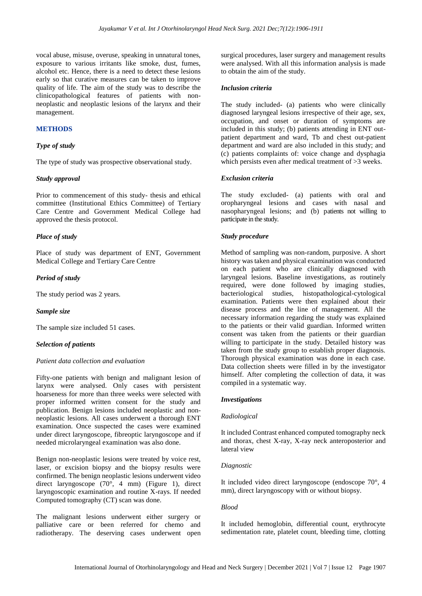vocal abuse, misuse, overuse, speaking in unnatural tones, exposure to various irritants like smoke, dust, fumes, alcohol etc. Hence, there is a need to detect these lesions early so that curative measures can be taken to improve quality of life. The aim of the study was to describe the clinicopathological features of patients with nonneoplastic and neoplastic lesions of the larynx and their management.

## **METHODS**

#### *Type of study*

The type of study was prospective observational study.

#### *Study approval*

Prior to commencement of this study- thesis and ethical committee (Institutional Ethics Committee) of Tertiary Care Centre and Government Medical College had approved the thesis protocol.

## *Place of study*

Place of study was department of ENT, Government Medical College and Tertiary Care Centre

#### *Period of study*

The study period was 2 years.

#### *Sample size*

The sample size included 51 cases.

#### *Selection of patients*

#### *Patient data collection and evaluation*

Fifty-one patients with benign and malignant lesion of larynx were analysed. Only cases with persistent hoarseness for more than three weeks were selected with proper informed written consent for the study and publication. Benign lesions included neoplastic and nonneoplastic lesions. All cases underwent a thorough ENT examination. Once suspected the cases were examined under direct laryngoscope, fibreoptic laryngoscope and if needed microlaryngeal examination was also done.

Benign non-neoplastic lesions were treated by voice rest, laser, or excision biopsy and the biopsy results were confirmed. The benign neoplastic lesions underwent video direct laryngoscope (70°, 4 mm) (Figure 1), direct laryngoscopic examination and routine X-rays. If needed Computed tomography (CT) scan was done.

The malignant lesions underwent either surgery or palliative care or been referred for chemo and radiotherapy. The deserving cases underwent open

surgical procedures, laser surgery and management results were analysed. With all this information analysis is made to obtain the aim of the study.

#### *Inclusion criteria*

The study included- (a) patients who were clinically diagnosed laryngeal lesions irrespective of their age, sex, occupation, and onset or duration of symptoms are included in this study; (b) patients attending in ENT outpatient department and ward, Tb and chest out-patient department and ward are also included in this study; and (c) patients complaints of: voice change and dysphagia which persists even after medical treatment of >3 weeks.

#### *Exclusion criteria*

The study excluded- (a) patients with oral and oropharyngeal lesions and cases with nasal and nasopharyngeal lesions; and (b) patients not willing to participate in the study.

#### *Study procedure*

Method of sampling was non-random, purposive. A short history was taken and physical examination was conducted on each patient who are clinically diagnosed with laryngeal lesions. Baseline investigations, as routinely required, were done followed by imaging studies, bacteriological studies, histopathological-cytological examination. Patients were then explained about their disease process and the line of management. All the necessary information regarding the study was explained to the patients or their valid guardian. Informed written consent was taken from the patients or their guardian willing to participate in the study. Detailed history was taken from the study group to establish proper diagnosis. Thorough physical examination was done in each case. Data collection sheets were filled in by the investigator himself. After completing the collection of data, it was compiled in a systematic way.

#### *Investigations*

#### *Radiological*

It included Contrast enhanced computed tomography neck and thorax, chest X-ray, X-ray neck anteroposterior and lateral view

#### *Diagnostic*

It included video direct laryngoscope (endoscope 70°, 4 mm), direct laryngoscopy with or without biopsy.

## *Blood*

It included hemoglobin, differential count, erythrocyte sedimentation rate, platelet count, bleeding time, clotting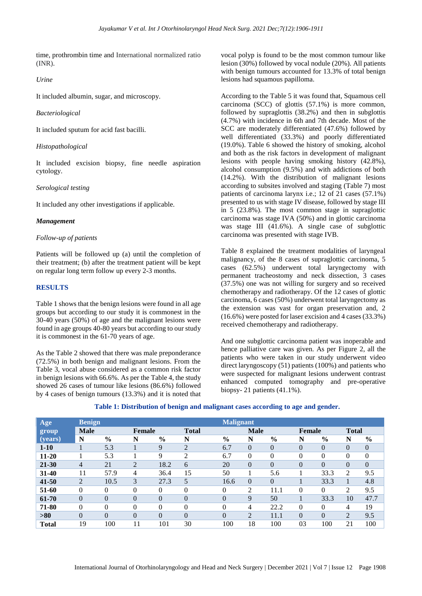time, prothrombin time and International normalized ratio (INR).

#### *Urine*

It included albumin, sugar, and microscopy.

#### *Bacteriological*

It included sputum for acid fast bacilli.

#### *Histopathological*

It included excision biopsy, fine needle aspiration cytology.

#### *Serological testing*

It included any other investigations if applicable.

#### *Management*

#### *Follow-up of patients*

Patients will be followed up (a) until the completion of their treatment; (b) after the treatment patient will be kept on regular long term follow up every 2-3 months.

## **RESULTS**

Table 1 shows that the benign lesions were found in all age groups but according to our study it is commonest in the 30-40 years (50%) of age and the malignant lesions were found in age groups 40-80 years but according to our study it is commonest in the 61-70 years of age.

As the Table 2 showed that there was male preponderance (72.5%) in both benign and malignant lesions. From the Table 3, vocal abuse considered as a common risk factor in benign lesions with 66.6%. As per the Table 4, the study showed 26 cases of tumour like lesions (86.6%) followed by 4 cases of benign tumours (13.3%) and it is noted that

vocal polyp is found to be the most common tumour like lesion (30%) followed by vocal nodule (20%). All patients with benign tumours accounted for 13.3% of total benign lesions had squamous papilloma.

According to the Table 5 it was found that, Squamous cell carcinoma (SCC) of glottis (57.1%) is more common, followed by supraglottis (38.2%) and then in subglottis (4.7%) with incidence in 6th and 7th decade. Most of the SCC are moderately differentiated (47.6%) followed by well differentiated (33.3%) and poorly differentiated (19.0%). Table 6 showed the history of smoking, alcohol and both as the risk factors in development of malignant lesions with people having smoking history (42.8%), alcohol consumption (9.5%) and with addictions of both (14.2%). With the distribution of malignant lesions according to subsites involved and staging (Table 7) most patients of carcinoma larynx i.e.; 12 of 21 cases (57.1%) presented to us with stage IV disease, followed by stage III in 5 (23.8%). The most common stage in supraglottic carcinoma was stage IVA (50%) and in glottic carcinoma was stage III (41.6%). A single case of subglottic carcinoma was presented with stage IVB.

Table 8 explained the treatment modalities of laryngeal malignancy, of the 8 cases of supraglottic carcinoma, 5 cases (62.5%) underwent total laryngectomy with permanent tracheostomy and neck dissection, 3 cases (37.5%) one was not willing for surgery and so received chemotherapy and radiotherapy. Of the 12 cases of glottic carcinoma, 6 cases (50%) underwent total laryngectomy as the extension was vast for organ preservation and, 2 (16.6%) were posted for laser excision and 4 cases (33.3%) received chemotherapy and radiotherapy.

And one subglottic carcinoma patient was inoperable and hence palliative care was given. As per Figure 2, all the patients who were taken in our study underwent video direct laryngoscopy (51) patients (100%) and patients who were suspected for malignant lesions underwent contrast enhanced computed tomography and pre-operative biopsy- 21 patients (41.1%).

| Age          | <b>Benign</b>  |               |          |               |                | <b>Malignant</b> |                |               |          |               |                |          |
|--------------|----------------|---------------|----------|---------------|----------------|------------------|----------------|---------------|----------|---------------|----------------|----------|
| group        | <b>Male</b>    |               | Female   |               | <b>Total</b>   |                  | <b>Male</b>    |               | Female   |               | <b>Total</b>   |          |
| (years)      | N              | $\frac{6}{6}$ | N        | $\frac{0}{0}$ | N              | $\frac{0}{0}$    | N              | $\frac{6}{6}$ | N        | $\frac{0}{0}$ | N              | $\%$     |
| $1 - 10$     |                | 5.3           |          | 9             | $\overline{c}$ | 6.7              | $\overline{0}$ | $\Omega$      | $\theta$ | $\Omega$      | $\Omega$       | $\theta$ |
| $11 - 20$    |                | 5.3           |          | 9             | 2              | 6.7              | $\theta$       | $\Omega$      | $\theta$ | $\Omega$      | 0              | $\theta$ |
| $21 - 30$    | 4              | 21            | 2        | 18.2          | 6              | 20               | $\theta$       | $\Omega$      | $\theta$ | $\Omega$      | $\theta$       | $\Omega$ |
| $31 - 40$    | 11             | 57.9          | 4        | 36.4          | 15             | 50               |                | 5.6           |          | 33.3          | 2              | 9.5      |
| $41 - 50$    | $\overline{2}$ | 10.5          | 3        | 27.3          | 5              | 16.6             | $\Omega$       | $\Omega$      |          | 33.3          |                | 4.8      |
| 51-60        | $\theta$       | $\theta$      | $\theta$ | $\theta$      | 0              | $\overline{0}$   | 2              | 11.1          | $\theta$ | $\Omega$      | 2              | 9.5      |
| 61-70        | $\Omega$       | $\Omega$      | 0        | $\Omega$      | $\overline{0}$ | $\theta$         | 9              | 50            |          | 33.3          | 10             | 47.7     |
| 71-80        | $\Omega$       | $\theta$      | $\theta$ | $\Omega$      | $\theta$       | $\theta$         | 4              | 22.2          | $\theta$ | $\Omega$      | 4              | 19       |
| >80          | $\theta$       | $\theta$      | $\Omega$ | $\Omega$      | $\theta$       | $\theta$         | $\overline{2}$ | 11.1          | $\theta$ | $\Omega$      | $\overline{2}$ | 9.5      |
| <b>Total</b> | 19             | 100           | 11       | 101           | 30             | 100              | 18             | 100           | 03       | 100           | 21             | 100      |

#### **Table 1: Distribution of benign and malignant cases according to age and gender.**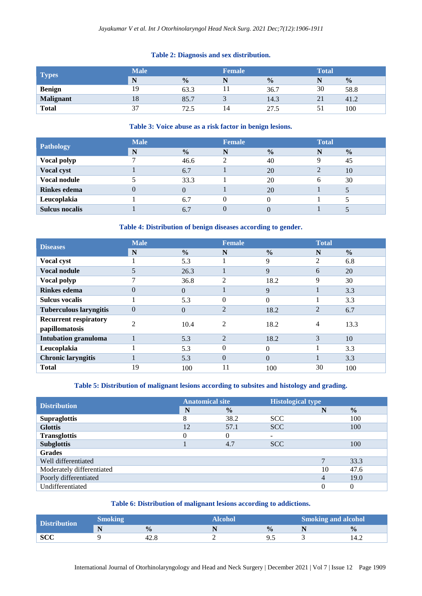## **Table 2: Diagnosis and sex distribution.**

| <b>Types</b>     | <b>Male</b> |               | <b>Female</b> |               | <b>Total</b> |               |  |
|------------------|-------------|---------------|---------------|---------------|--------------|---------------|--|
|                  | N           | $\frac{0}{0}$ |               | $\frac{0}{0}$ | N            | $\frac{0}{0}$ |  |
| <b>Benign</b>    | 19          | 63.3          |               | 36.7          | 30           | 58.8          |  |
| <b>Malignant</b> | 18          | 85.7          |               | 14.3          | 21           | 41.2          |  |
| <b>Total</b>     | $\sim$      | 72.5          |               | 27.5          |              | 100           |  |

#### **Table 3: Voice abuse as a risk factor in benign lesions.**

| <b>Pathology</b>      | <b>Male</b> |               | <b>Female</b> |               | <b>Total</b> |               |
|-----------------------|-------------|---------------|---------------|---------------|--------------|---------------|
|                       | N           | $\frac{0}{0}$ | N             | $\frac{0}{0}$ | N            | $\frac{0}{0}$ |
| Vocal polyp           |             | 46.6          |               | 40            |              | 45            |
| Vocal cyst            |             | 6.7           |               | 20            | 2            | 10            |
| <b>Vocal nodule</b>   |             | 33.3          |               | 20            | 6            | 30            |
| <b>Rinkes</b> edema   | $\Omega$    |               |               | 20            |              |               |
| Leucoplakia           |             | 6.7           |               |               |              |               |
| <b>Sulcus nocalis</b> |             | 6.7           |               |               |              |               |

## **Table 4: Distribution of benign diseases according to gender.**

| <b>Diseases</b>               | <b>Male</b>    |               | <b>Female</b>  |               | <b>Total</b>   |               |
|-------------------------------|----------------|---------------|----------------|---------------|----------------|---------------|
|                               | N              | $\frac{0}{0}$ | N              | $\frac{0}{0}$ | N              | $\frac{0}{0}$ |
| <b>Vocal cyst</b>             |                | 5.3           |                | 9             | $\overline{c}$ | 6.8           |
| <b>Vocal nodule</b>           | 5              | 26.3          |                | 9             | 6              | 20            |
| <b>Vocal polyp</b>            | 7              | 36.8          | 2              | 18.2          | 9              | 30            |
| Rinkes edema                  | $\overline{0}$ | $\Omega$      |                | 9             |                | 3.3           |
| <b>Sulcus vocalis</b>         |                | 5.3           | $\theta$       | $\Omega$      |                | 3.3           |
| <b>Tuberculous laryngitis</b> | $\overline{0}$ | $\Omega$      | $\overline{2}$ | 18.2          | $\overline{2}$ | 6.7           |
| <b>Recurrent respiratory</b>  | $\overline{2}$ | 10.4          | 2              | 18.2          | 4              | 13.3          |
| papillomatosis                |                |               |                |               |                |               |
| <b>Intubation granuloma</b>   |                | 5.3           | $\overline{2}$ | 18.2          | 3              | 10            |
| Leucoplakia                   |                | 5.3           | $\Omega$       | 0             |                | 3.3           |
| <b>Chronic laryngitis</b>     |                | 5.3           | $\Omega$       | $\Omega$      |                | 3.3           |
| <b>Total</b>                  | 19             | 100           | 11             | 100           | 30             | 100           |

## **Table 5: Distribution of malignant lesions according to subsites and histology and grading.**

| <b>Distribution</b>       | <b>Anatomical site</b> |               | <b>Histological type</b> |    |               |  |
|---------------------------|------------------------|---------------|--------------------------|----|---------------|--|
|                           | N                      | $\frac{0}{0}$ |                          |    | $\frac{0}{0}$ |  |
| <b>Supraglottis</b>       |                        | 38.2          | <b>SCC</b>               |    | 100           |  |
| <b>Glottis</b>            | 12                     | 57.1          | <b>SCC</b>               |    | 100           |  |
| <b>Transglottis</b>       | 0                      | 0             |                          |    |               |  |
| <b>Subglottis</b>         |                        | 4.7           | <b>SCC</b>               |    | 100           |  |
| <b>Grades</b>             |                        |               |                          |    |               |  |
| Well differentiated       |                        |               |                          |    | 33.3          |  |
| Moderately differentiated |                        |               |                          | 10 | 47.6          |  |
| Poorly differentiated     |                        |               |                          | 4  | 19.0          |  |
| Undifferentiated          |                        |               |                          |    | $\theta$      |  |

## **Table 6: Distribution of malignant lesions according to addictions.**

| <b>Distribution</b> | Smoking  |               | Alcohol |              | <b>Smoking and alcohol</b> |               |  |
|---------------------|----------|---------------|---------|--------------|----------------------------|---------------|--|
|                     | N<br>. . | $\frac{0}{6}$ |         | $\mathbf{0}$ |                            | $\frac{0}{0}$ |  |
| <b>SCC</b>          |          |               |         | ر.,          |                            | 14.4          |  |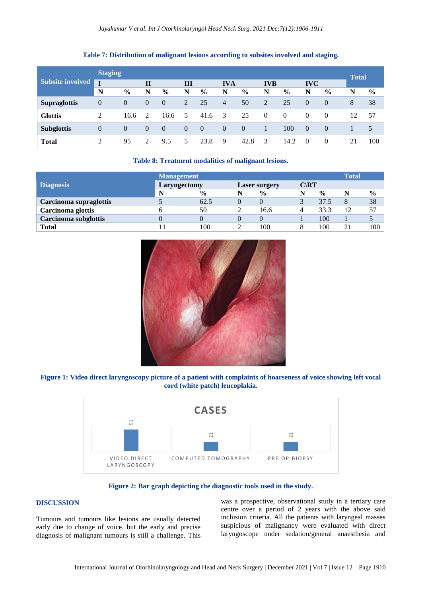#### **Table 7: Distribution of malignant lesions according to subsites involved and staging.**

| <b>Subsite involved</b> |                | <b>Staging</b> |                |               |                |               |                         |          |                |               |                |          | <b>Total</b> |               |
|-------------------------|----------------|----------------|----------------|---------------|----------------|---------------|-------------------------|----------|----------------|---------------|----------------|----------|--------------|---------------|
|                         | $\mathbf{I}$   |                | $\mathbf{I}$   |               | Ш              |               | <b>IVA</b>              |          | <b>IVB</b>     |               | <b>IVC</b>     |          |              |               |
|                         | N              | $\frac{6}{9}$  | N              | $\frac{6}{9}$ | N              | $\frac{6}{9}$ | N                       | $\%$     | N              | $\frac{0}{0}$ | N              | $\%$     | N            | $\frac{6}{9}$ |
| <b>Supraglottis</b>     | $\overline{0}$ | $\theta$       | $\overline{0}$ | $\theta$      | $\overline{2}$ | 25            | 4                       | 50       | 2              | 25            | $\theta$       | $\theta$ | 8            | 38            |
| <b>Glottis</b>          | $\overline{c}$ | 16.6           | 2              | 16.6          | 5              | 41.6          | $\overline{\mathbf{3}}$ | 25       | $\overline{0}$ | $\theta$      | $\theta$       | $\theta$ | 12           | 57            |
| <b>Subglottis</b>       | $\overline{0}$ | $\Omega$       | $\overline{0}$ | $\theta$      | $\theta$       | $\theta$      | $\theta$                | $\Omega$ |                | 100           | $\overline{0}$ | $\theta$ |              | 5             |
| <b>Total</b>            | ◠              | 95             | ∍              | 9.5           | 5.             | 23.8          | 9                       | 42.8     | 3              | 14.2          | $\theta$       | $\theta$ | 21           | 100           |

#### **Table 8: Treatment modalities of malignant lesions.**

|                        | <b>Management</b> |               | <b>Total</b> |                      |                 |               |    |               |
|------------------------|-------------------|---------------|--------------|----------------------|-----------------|---------------|----|---------------|
| <b>Diagnosis</b>       | Laryngectomy      |               |              | <b>Laser surgery</b> | $C\setminus RT$ |               |    |               |
|                        | N                 | $\frac{6}{9}$ |              | $\frac{6}{6}$        |                 | $\frac{0}{0}$ |    | $\frac{6}{6}$ |
| Carcinoma supraglottis |                   | 62.5          |              |                      |                 | 37.5          | 8  | 38            |
| Carcinoma glottis      |                   | 50            |              | 16.6                 |                 | 33.3          | 12 | 57            |
| Carcinoma subglottis   |                   |               |              |                      |                 | 100           |    |               |
| Total                  |                   | 100           |              | 100                  |                 | 100           |    | 100           |



**Figure 1: Video direct laryngoscopy picture of a patient with complaints of hoarseness of voice showing left vocal cord (white patch) leucoplakia.**



**Figure 2: Bar graph depicting the diagnostic tools used in the study.**

#### **DISCUSSION**

Tumours and tumours like lesions are usually detected early due to change of voice, but the early and precise diagnosis of malignant tumours is still a challenge. This was a prospective, observational study in a tertiary care centre over a period of 2 years with the above said inclusion criteria. All the patients with laryngeal masses suspicious of malignancy were evaluated with direct laryngoscope under sedation/general anaesthesia and